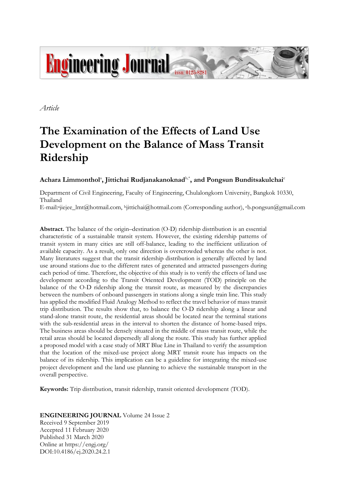

*Article*

# **The Examination of the Effects of Land Use Development on the Balance of Mass Transit Ridership**

# $\bold{A}$ chara Limmonthol $^{\text{a}}$ , Jittichai Rudjanakanoknad $^{\text{b},\ast}$ , and Pongsun Bunditsakulchai $^{\text{c}}$

Department of Civil Engineering, Faculty of Engineering, Chulalongkorn University, Bangkok 10330, Thailand

E-mail:ªjiejee\_lmt@hotmail.com, bjittichai@hotmail.com (Corresponding author), cb.pongsun@gmail.com

**Abstract.** The balance of the origin–destination (O-D) ridership distribution is an essential characteristic of a sustainable transit system. However, the existing ridership patterns of transit system in many cities are still off-balance, leading to the inefficient utilization of available capacity. As a result, only one direction is overcrowded whereas the other is not. Many literatures suggest that the transit ridership distribution is generally affected by land use around stations due to the different rates of generated and attracted passengers during each period of time. Therefore, the objective of this study is to verify the effects of land use development according to the Transit Oriented Development (TOD) principle on the balance of the O-D ridership along the transit route, as measured by the discrepancies between the numbers of onboard passengers in stations along a single train line. This study has applied the modified Fluid Analogy Method to reflect the travel behavior of mass transit trip distribution. The results show that, to balance the O-D ridership along a linear and stand-alone transit route, the residential areas should be located near the terminal stations with the sub-residential areas in the interval to shorten the distance of home-based trips. The business areas should be densely situated in the middle of mass transit route, while the retail areas should be located dispersedly all along the route. This study has further applied a proposed model with a case study of MRT Blue Line in Thailand to verify the assumption that the location of the mixed-use project along MRT transit route has impacts on the balance of its ridership. This implication can be a guideline for integrating the mixed-use project development and the land use planning to achieve the sustainable transport in the overall perspective.

**Keywords:** Trip distribution, transit ridership, transit oriented development (TOD).

# **ENGINEERING JOURNAL** Volume 24 Issue 2

Received 9 September 2019 Accepted 11 February 2020 Published 31 March 2020 Online at https://engj.org/ DOI:10.4186/ej.2020.24.2.1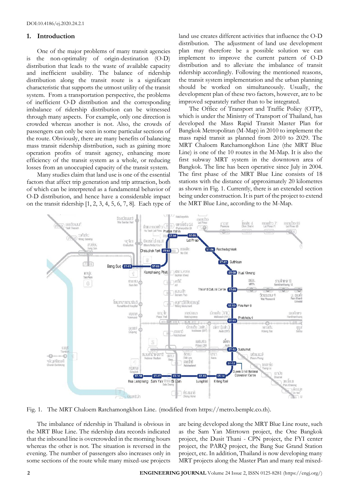## **1. Introduction**

One of the major problems of many transit agencies is the non-optimality of origin-destination (O-D) distribution that leads to the waste of available capacity and inefficient usability. The balance of ridership distribution along the transit route is a significant characteristic that supports the utmost utility of the transit system. From a transportation perspective, the problems of inefficient O-D distribution and the corresponding imbalance of ridership distribution can be witnessed through many aspects. For example, only one direction is crowded whereas another is not. Also, the crowds of passengers can only be seen in some particular sections of the route. Obviously, there are many benefits of balancing mass transit ridership distribution, such as gaining more operation profits of transit agency, enhancing more efficiency of the transit system as a whole, or reducing losses from an unoccupied capacity of the transit system.

Many studies claim that land use is one of the essential factors that affect trip generation and trip attraction, both of which can be interpreted as a fundamental behavior of O-D distribution, and hence have a considerable impact on the transit ridership [1, 2, 3, 4, 5, 6, 7, 8]. Each type of land use creates different activities that influence the O-D distribution. The adjustment of land use development plan may therefore be a possible solution we can implement to improve the current pattern of O-D distribution and to alleviate the imbalance of transit ridership accordingly. Following the mentioned reasons, the transit system implementation and the urban planning should be worked on simultaneously. Usually, the development plan of these two factors, however, are to be improved separately rather than to be integrated.

The Office of Transport and Traffic Policy (OTP), which is under the Ministry of Transport of Thailand, has developed the Mass Rapid Transit Master Plan for Bangkok Metropolitan (M-Map) in 2010 to implement the mass rapid transit as planned from 2010 to 2029. The MRT Chaloem Ratchamongkhon Line (the MRT Blue Line) is one of the 10 routes in the M-Map. It is also the first subway MRT system in the downtown area of Bangkok. The line has been operative since July in 2004. The first phase of the MRT Blue Line consists of 18 stations with the distance of approximately 20 kilometres as shown in Fig. 1. Currently, there is an extended section being under construction. It is part of the project to extend the MRT Blue Line, according to the M-Map.



Fig. 1. The MRT Chaloem Ratchamongkhon Line. (modified from https://metro.bemplc.co.th).

The imbalance of ridership in Thailand is obvious in the MRT Blue Line. The ridership data records indicated that the inbound line is overcrowded in the morning hours whereas the other is not. The situation is reversed in the evening. The number of passengers also increases only in some sections of the route while many mixed-use projects are being developed along the MRT Blue Line route, such as the Sam Yan Mitrtown project, the One Bangkok project, the Dusit Thani - CPN project, the FYI center project, the PARQ project, the Bang Sue Grand Station project, etc. In addition, Thailand is now developing many MRT projects along the Master Plan and many real mixed-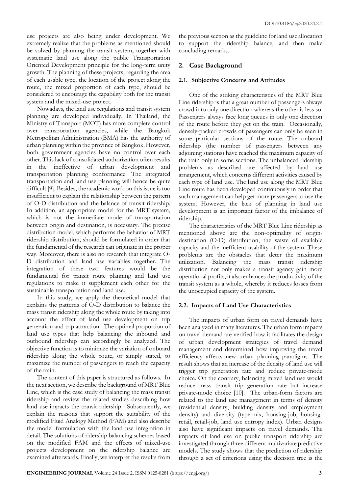use projects are also being under development. We extremely realize that the problems as mentioned should be solved by planning the transit system, together with systematic land use along the public Transportation Oriented Development principle for the long-term unity growth. The planning of these projects, regarding the area of each usable type, the location of the project along the route, the mixed proportion of each type, should be considered to encourage the capability both for the transit system and the mixed-use project.

Nowadays, the land use regulations and transit system planning are developed individually. In Thailand, the Ministry of Transport (MOT) has more complete control over transportation agencies, while the Bangkok Metropolitan Administration (BMA) has the authority of urban planning within the province of Bangkok. However, both government agencies have no control over each other. This lack of consolidated authorization often results in the ineffective of urban development and transportation planning conformance. The integrated transportation and land use planning will hence be quite difficult [9]. Besides, the academic work on this issue is too insufficient to explain the relationship between the pattern of O-D distribution and the balance of transit ridership. In addition, an appropriate model for the MRT system, which is not the immediate mode of transportation between origin and destination, is necessary. The precise distribution model, which performs the behavior of MRT ridership distribution, should be formulated in order that the fundamental of the research can originate in the proper way. Moreover, there is also no research that integrate O-D distribution and land use variables together. The integration of these two features would be the fundamental for transit route planning and land use regulations to make it supplement each other for the sustainable transportation and land use.

In this study, we apply the theoretical model that explains the patterns of O-D distribution to balance the mass transit ridership along the whole route by taking into account the effect of land use development on trip generation and trip attraction. The optimal proportion of land use types that help balancing the inbound and outbound ridership can accordingly be analyzed. The objective function is to minimize the variation of onboard ridership along the whole route, or simply stated, to maximize the number of passengers to reach the capacity of the train.

The content of this paper is structured as follows. In the next section, we describe the background of MRT Blue Line, which is the case study of balancing the mass transit ridership and review the related studies describing how land use impacts the transit ridership. Subsequently, we explain the reasons that support the suitability of the modified Fluid Analogy Method (FAM) and also describe the model formulation with the land use integration in detail. The solutions of ridership balancing schemes based on the modified FAM and the effects of mixed-use projects development on the ridership balance are examined afterwards. Finally, we interpret the results from

the previous section as the guideline for land use allocation to support the ridership balance, and then make concluding remarks.

# **2. Case Background**

# **2.1. Subjective Concerns and Attitudes**

One of the striking characteristics of the MRT Blue Line ridership is that a great number of passengers always crowd into only one direction whereas the other is less so. Passengers always face long queues in only one direction of the route before they get on the train. Occasionally, densely-packed crowds of passengers can only be seen in some particular sections of the route. The onboard ridership (the number of passengers between any adjoining stations) have reached the maximum capacity of the train only in some sections. The unbalanced ridership problems as described are affected by land use arrangement, which concerns different activities caused by each type of land use. The land use along the MRT Blue Line route has been developed continuously in order that such management can help get more passengers to use the system. However, the lack of planning in land use development is an important factor of the imbalance of ridership.

The characteristics of the MRT Blue Line ridership as mentioned above are the non-optimality of origindestination (O-D) distribution, the waste of available capacity and the inefficient usability of the system. These problems are the obstacles that deter the maximum utilization. Balancing the mass transit ridership distribution not only makes a transit agency gain more operational profits, it also enhances the productivity of the transit system as a whole, whereby it reduces losses from the unoccupied capacity of the system.

# **2.2. Impacts of Land Use Characteristics**

The impacts of urban form on travel demands have been analyzed in many literatures. The urban form impacts on travel demand are verified how it facilitates the design of urban development strategies of travel demand management and determined how improving the travel efficiency affects new urban planning paradigms. The result shows that an increase of the density of land use will trigger trip generation rate and reduce private-mode choice. On the contrary, balancing mixed land use would reduce mass transit trip generation rate but increase private-mode choice [10]. The urban-form factors are related to the land use management in terms of density (residential density, building density and employment density) and diversity (type-mix, housing-job, housingretail, retail-job, land use entropy index). Urban designs also have significant impacts on travel demands. The impacts of land use on public transport ridership are investigated through three different multivariate predictive models. The study shows that the prediction of ridership through a set of criterions using the decision tree is the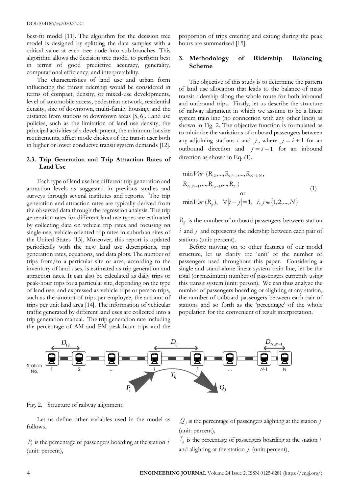best-fit model [11]. The algorithm for the decision tree model is designed by splitting the data samples with a critical value at each tree node into sub-branches. This algorithm allows the decision tree model to perform best in terms of good predictive accuracy, generality, computational efficiency, and interpretability.

The characteristics of land use and urban form influencing the transit ridership would be considered in terms of compact, density, or mixed-use developments, level of automobile access, pedestrian network, residential density, size of downtown, multi-family housing, and the distance from stations to downtown areas [5, 6]. Land use policies, such as the limitation of land use density, the principal activities of a development, the minimum lot size requirements, affect mode choices of the transit user both in higher or lower conducive transit system demands [12].

## **2.3. Trip Generation and Trip Attraction Rates of Land Use**

Each type of land use has different trip generation and attraction levels as suggested in previous studies and surveys through several institutes and reports. The trip generation and attraction rates are typically derived from the observed data through the regression analysis. The trip generation rates for different land use types are estimated by collecting data on vehicle trip rates and focusing on single-use, vehicle-oriented trip rates in suburban sites of the United States [13]. Moreover, this report is updated periodically with the new land use descriptions, trip generation rates, equations, and data plots. The number of trips from/to a particular site or area, according to the inventory of land uses, is estimated as trip generation and attraction rates. It can also be calculated as daily trips or peak-hour trips for a particular site, depending on the type of land use, and expressed as vehicle trips or person trips, such as the amount of trips per employee, the amount of trips per unit land area [14]. The information of vehicular traffic generated by different land uses are collected into a trip generation manual. The trip generation rate including the percentage of AM and PM peak-hour trips and the

proportion of trips entering and exiting during the peak hours are summarized [15].

# **3. Methodology of Ridership Balancing Scheme**

The objective of this study is to determine the pattern of land use allocation that leads to the balance of mass transit ridership along the whole route for both inbound and outbound trips. Firstly, let us describe the structure of railway alignment in which we assume to be a linear system train line (no connection with any other lines) as shown in Fig. 2. The objective function is formulated as to minimize the variations of onboard passengers between any adjoining stations *i* and *j*, where  $j = i + 1$  for an outbound direction and  $j = i - 1$  for an inbound direction as shown in Eq.  $(1)$ .

$$
\min Var (R_{12},...,R_{i,i+1},...,R_{N-1,N},
$$
\n
$$
R_{N,N-1},...,R_{i,i-1},...,R_{21})
$$
\nor\n
$$
\min Var (R_{ij}), \quad \forall |i-j|=1; \quad i, j \in \{1,2,...,N\}
$$
\n(1)

*Rij* is the number of onboard passengers between station  $i$  and  $j$  and represents the ridership between each pair of stations (unit: percent).

Before moving on to other features of our model structure, let us clarify the 'unit' of the number of passengers used throughout this paper. Considering a single and stand-alone linear system train line, let be the total (or maximum) number of passengers currently using this transit system (unit: person). We can thus analyze the number of passengers boarding or alighting at any station, the number of onboard passengers between each pair of stations and so forth as the 'percentage' of the whole population for the convenient of result interpretation.



Fig. 2. Structure of railway alignment.

Let us define other variables used in the model as follows.

*Pi* is the percentage of passengers boarding at the station *i* (unit: percent),

 $Q_j$  is the percentage of passengers alighting at the station  $j$ (unit: percent),

*Tij* is the percentage of passengers boarding at the station *i* and alighting at the station *j* (unit: percent),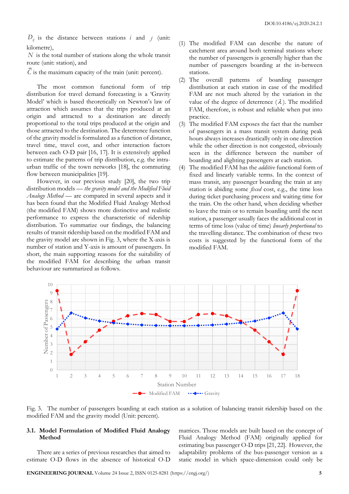$D_{ij}$  is the distance between stations *i* and *j* (unit: kilometre),

*N* is the total number of stations along the whole transit route (unit: station), and

*C* is the maximum capacity of the train (unit: percent).

The most common functional form of trip distribution for travel demand forecasting is a 'Gravity Model' which is based theoretically on Newton's law of attraction which assumes that the trips produced at an origin and attracted to a destination are directly proportional to the total trips produced at the origin and those attracted to the destination. The deterrence function of the gravity model is formulated as a function of distance, travel time, travel cost, and other interaction factors between each O-D pair [16, 17]. It is extensively applied to estimate the patterns of trip distribution, e.g. the intraurban traffic of the town networks [18], the commuting flow between municipalities [19].

However, in our previous study [20], the two trip distribution models — *the gravity model and the Modified Fluid Analogy Method* — are compared in several aspects and it has been found that the Modified Fluid Analogy Method (the modified FAM) shows more distinctive and realistic performance to express the characteristic of ridership distribution. To summarize our findings, the balancing results of transit ridership based on the modified FAM and the gravity model are shown in Fig. 3, where the X-axis is number of station and Y-axis is amount of passengers. In short, the main supporting reasons for the suitability of the modified FAM for describing the urban transit behaviour are summarized as follows.

- (1) The modified FAM can describe the nature of catchment area around both terminal stations where the number of passengers is generally higher than the number of passengers boarding at the in-between stations.
- (2) The overall patterns of boarding passenger distribution at each station in case of the modified FAM are not much altered by the variation in the value of the degree of deterrence  $(\lambda)$ . The modified FAM, therefore, is robust and reliable when put into practice.
- (3) The modified FAM exposes the fact that the number of passengers in a mass transit system during peak hours always increases drastically only in one direction while the other direction is not congested, obviously seen in the difference between the number of boarding and alighting passengers at each station.
- (4) The modified FAM has the *additive* functional form of fixed and linearly variable terms. In the context of mass transit, any passenger boarding the train at any station is abiding some *fixed* cost, e.g., the time loss during ticket purchasing process and waiting time for the train. On the other hand, when deciding whether to leave the train or to remain boarding until the next station, a passenger usually faces the additional cost in terms of time loss (value of time) *linearly proportional* to the travelling distance. The combination of these two costs is suggested by the functional form of the modified FAM.



Fig. 3. The number of passengers boarding at each station as a solution of balancing transit ridership based on the modified FAM and the gravity model (Unit: percent).

## **3.1. Model Formulation of Modified Fluid Analogy Method**

There are a series of previous researches that aimed to estimate O-D flows in the absence of historical O-D matrices. Those models are built based on the concept of Fluid Analogy Method (FAM) originally applied for estimating bus passenger O-D trips [21, 22]. However, the adaptability problems of the bus-passenger version as a static model in which space-dimension could only be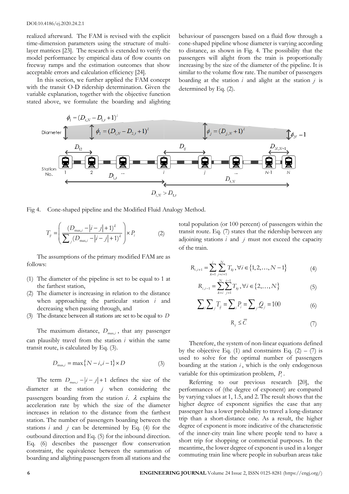#### DOI:10.4186/ej.2020.24.2.1

realized afterward. The FAM is revised with the explicit time-dimension parameters using the structure of multilayer matrices [23]. The research is extended to verify the model performance by empirical data of flow counts on freeway ramps and the estimation outcomes that show acceptable errors and calculation efficiency [24].

In this section, we further applied the FAM concept with the transit O-D ridership determination. Given the variable explanation, together with the objective function stated above, we formulate the boarding and alighting behaviour of passengers based on a fluid flow through a cone-shaped pipeline whose diameter is varying according to distance, as shown in Fig. 4. The possibility that the passengers will alight from the train is proportionally increasing by the size of the diameter of the pipeline. It is similar to the volume flow rate. The number of passengers boarding at the station  $i$  and alight at the station  $j$  is determined by Eq. (2).



Fig 4. Cone-shaped pipeline and the Modified Fluid Analogy Method.

$$
T_{ij} = \left(\frac{(D_{\text{max},i} - |i-j| + 1)^{\lambda}}{\sum_{j} (D_{\text{max},i} - |i-j| + 1)^{\lambda}}\right) \times P_{i}
$$
 (2) tot  
atra

The assumptions of the primary modified FAM are as follows:

- (1) The diameter of the pipeline is set to be equal to 1 at the farthest station,
- (2) The diameter is increasing in relation to the distance when approaching the particular station *i* and decreasing when passing through, and
- (3) The distance between all stations are set to be equal to  $D$ *D*

The maximum distance,  $D_{\text{max},i}$ , that any passenger can plausibly travel from the station *i* within the same transit route, is calculated by Eq. (3).

$$
D_{\max,i} = \max\{N-i, i-1\} \times D \tag{3}
$$

The term  $D_{\text{max},i} - |i - j| + 1$  defines the size of the diameter at the station *j* when considering the passengers boarding from the station  $i$ .  $\lambda$  explains the acceleration rate by which the size of the diameter increases in relation to the distance from the farthest station. The number of passengers boarding between the stations  $i$  and  $j$  can be determined by Eq. (4) for the outbound direction and Eq. (5) for the inbound direction. Eq. (6) describes the passenger flow conservation constraint, the equivalence between the summation of boarding and alighting passengers from all stations and the

 $T_{\text{m}} = \frac{(D_{\text{max},i} - |i-j| + 1)^{\lambda}}{\sum_{i=1}^{\infty} P_i}$  (2) transit route. Eq. (7) states that the ridership between any  $\left( \sum_{j} (D_{\text{max},i} - |i-j| + 1)^{\lambda} \right)^{n+1}$  adjoining stations *i* and *j* must not exceed the capacity total population (or 100 percent) of passengers within the of the train.

$$
R_{i,i+1} = \sum_{k=1}^{i} \sum_{j=i+1}^{N} T_{kj}, \forall i \in \{1, 2, ..., N-1\}
$$
 (4)

$$
R_{i,i-1} = \sum_{k=i}^{N} \sum_{j=1}^{i-1} T_{kj}, \forall i \in \{2, ..., N\}
$$
 (5)

$$
\sum_{i} \sum_{j} T_{ij} = \sum_{i} P_{i} = \sum_{j} Q_{j} = 100
$$
 (6)

$$
R_{ij} \leq \overline{C} \tag{7}
$$

 $D_{\text{max},i} = \max\{N - i, i - 1\} \times D$  (3) boarding at the station *i*, which is the only endogenous Therefore, the system of non-linear equations defined by the objective Eq. (1) and constraints Eq.  $(2) - (7)$  is used to solve for the optimal number of passengers variable for this optimization problem, *Pi* .

> Referring to our previous research [20], the performances of (the degree of exponent) are compared by varying values at 1, 1.5, and 2. The result shows that the higher degree of exponent signifies the case that any passenger has a lower probability to travel a long-distance trip than a short-distance one. As a result, the higher degree of exponent is more indicative of the characteristic of the inner-city train line where people tend to have a short trip for shopping or commercial purposes. In the meantime, the lower degree of exponent is used in a longer commuting train line where people in suburban areas take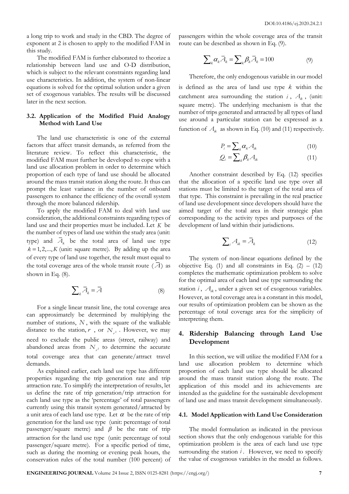a long trip to work and study in the CBD. The degree of exponent at 2 is chosen to apply to the modified FAM in this study.

The modified FAM is further elaborated to theorize a relationship between land use and O-D distribution, which is subject to the relevant constraints regarding land use characteristics. In addition, the system of non-linear equations is solved for the optimal solution under a given set of exogenous variables. The results will be discussed later in the next section.

# **3.2. Application of the Modified Fluid Analogy Method with Land Use**

The land use characteristic is one of the external factors that affect transit demands, as referred from the literature review. To reflect this characteristic, the modified FAM must further be developed to cope with a land use allocation problem in order to determine which proportion of each type of land use should be allocated around the mass transit station along the route. It thus can prompt the least variance in the number of onboard passengers to enhance the efficiency of the overall system through the more balanced ridership.

To apply the modified FAM to deal with land use consideration, the additional constraints regarding types of land use and their properties must be included. Let *K* be the number of types of land use within the study area (unit: type) and  $A_k$  be the total area of land use type  $k = 1, 2, \dots, K$  (unit: square metre). By adding up the area of every type of land use together, the result must equal to the total coverage area of the whole transit route  $(A)$  as shown in Eq. (8).

$$
\sum_{k} \overline{A}_{k} = \overline{A}
$$
 (8)

For a single linear transit line, the total coverage area can approximately be determined by multiplying the number of stations, N, with the square of the walkable distance to the station,  $r$ , or  $N_{r^2}$ . However, we may need to exclude the public areas (street, railway) and abandoned areas from  $N_{r^2}$  to determine the accurate total coverage area that can generate/attract travel demands.

As explained earlier, each land use type has different properties regarding the trip generation rate and trip attraction rate. To simplify the interpretation of results, let us define the rate of trip generation/trip attraction for each land use type as the 'percentage' of total passengers currently using this transit system generated/attracted by a unit area of each land use type. Let  $\alpha$  be the rate of trip generation for the land use type (unit: percentage of total passenger/square metre) and  $\beta$  be the rate of trip attraction for the land use type (unit: percentage of total passenger/square metre). For a specific period of time, such as during the morning or evening peak hours, the conservation rules of the total number (100 percent) of

passengers within the whole coverage area of the transit route can be described as shown in Eq. (9).

$$
\sum_{k} \alpha_{k} \overline{A}_{k} = \sum_{k} \beta_{k} \overline{A}_{k} = 100 \tag{9}
$$

Therefore, the only endogenous variable in our model is defined as the area of land use type *k* within the catchment area surrounding the station  $i$ ,  $A_{ik}$ , (unit: square metre). The underlying mechanism is that the number of trips generated and attracted by all types of land use around a particular station can be expressed as a function of  $A_{ik}$  as shown in Eq. (10) and (11) respectively.

$$
P_i = \sum_{k} \alpha_k A_{ik} \tag{10}
$$

$$
Q_i = \sum_{k} \beta_k A_{ik} \tag{11}
$$

Another constraint described by Eq. (12) specifies that the allocation of a specific land use type over all stations must be limited to the target of the total area of that type. This constraint is prevailing in the real practice of land use development since developers should have the aimed target of the total area in their strategic plan corresponding to the activity types and purposes of the development of land within their jurisdictions.

$$
\sum_{i} A_{ik} = \overline{A}_{k} \tag{12}
$$

The system of non-linear equations defined by the objective Eq. (1) and all constraints in Eq.  $(2) - (12)$ completes the mathematic optimization problem to solve for the optimal area of each land use type surrounding the station  $i$ ,  $A_{ik}$ , under a given set of exogenous variables. However, as total coverage area is a constant in this model, our results of optimization problem can be shown as the percentage of total coverage area for the simplicity of interpreting them.

## **4. Ridership Balancing through Land Use Development**

In this section, we will utilize the modified FAM for a land use allocation problem to determine which proportion of each land use type should be allocated around the mass transit station along the route. The application of this model and its achievements are intended as the guideline for the sustainable development of land use and mass transit development simultaneously.

### **4.1. Model Application with Land Use Consideration**

The model formulation as indicated in the previous section shows that the only endogenous variable for this optimization problem is the area of each land use type surrounding the station *i*. However, we need to specify the value of exogenous variables in the model as follows.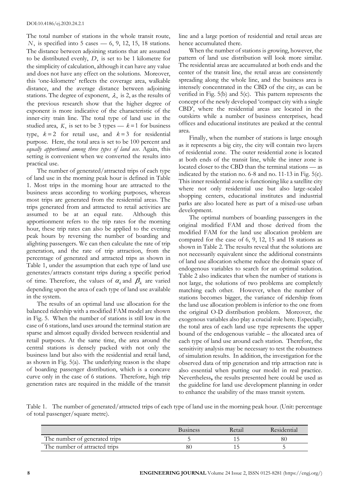The total number of stations in the whole transit route, *N*, is specified into 5 cases — 6, 9, 12, 15, 18 stations. The distance between adjoining stations that are assumed to be distributed evenly, *D*, is set to be 1 kilometre for the simplicity of calculation, although it can have any value and does not have any effect on the solutions. Moreover, this 'one-kilometre' reflects the coverage area, walkable distance, and the average distance between adjoining stations. The degree of exponent,  $\lambda$ , is 2, as the results of the previous research show that the higher degree of exponent is more indicative of the characteristic of the inner-city train line. The total type of land use in the studied area, K, is set to be 3 types  $-k=1$  for business <sup>orrices and equation-</sup> type,  $k=2$  for retail use, and  $k=3$  for residential  $\frac{d^{2}}{2}$ purpose. Here, the total area is set to be 100 percent and *equally apportioned among three types of land use*. Again, this setting is convenient when we converted the results into practical use.

The number of generated/attracted trips of each type of land use in the morning peak hour is defined in Table 1. Most trips in the morning hour are attracted to the business areas according to working purposes, whereas most trips are generated from the residential areas. The trips generated from and attracted to retail activities are assumed to be at an equal rate. Although this apportionment refers to the trip rates for the morning hour, these trip rates can also be applied to the evening peak hours by reversing the number of boarding and alighting passengers. We can then calculate the rate of trip generation, and the rate of trip attraction, from the percentage of generated and attracted trips as shown in Table 1, under the assumption that each type of land use generates/attracts constant trips during a specific period of time. Therefore, the values of  $\alpha_k$  and  $\beta_k$  are varied depending upon the area of each type of land use available in the system.

The results of an optimal land use allocation for the balanced ridership with a modified FAM model are shown in Fig. 5. When the number of stations is still low in the case of 6 stations, land uses around the terminal station are sparse and almost equally divided between residential and retail purposes. At the same time, the area around the central stations is densely packed with not only the business land but also with the residential and retail land, as shown in Fig. 5(a). The underlying reason is the shape of boarding passenger distribution, which is a concave curve only in the case of 6 stations. Therefore, high trip generation rates are required in the middle of the transit

line and a large portion of residential and retail areas are hence accumulated there.

When the number of stations is growing, however, the pattern of land use distribution will look more similar. The residential areas are accumulated at both ends and the center of the transit line, the retail areas are consistently spreading along the whole line, and the business area is intensely concentrated in the CBD of the city, as can be verified in Fig. 5(b) and 5(c). This pattern represents the concept of the newly developed 'compact city with a single CBD', where the residential areas are located in the outskirts while a number of business enterprises, head offices and educational institutes are peaked at the central area.

Finally, when the number of stations is large enough as it represents a big city, the city will contain two layers of residential zone. The outer residential zone is located at both ends of the transit line, while the inner zone is located closer to the CBD than the terminal stations — as indicated by the station no. 6-8 and no. 11-13 in Fig. 5(e). This inner residential zone is functioning like a satellite city where not only residential use but also large-scaled shopping centers, educational institutes and industrial parks are also located here as part of a mixed-use urban development.

The optimal numbers of boarding passengers in the original modified FAM and those derived from the modified FAM for the land use allocation problem are compared for the case of 6, 9, 12, 15 and 18 stations as shown in Table 2. The results reveal that the solutions are not necessarily equivalent since the additional constraints of land use allocation scheme reduce the domain space of endogenous variables to search for an optimal solution. Table 2 also indicates that when the number of stations is not large, the solutions of two problems are completely matching each other. However, when the number of stations becomes bigger, the variance of ridership from the land use allocation problem is inferior to the one from the original O-D distribution problem. Moreover, the exogenous variables also play a crucial role here. Especially, the total area of each land use type represents the upper bound of the endogenous variable – the allocated area of each type of land use around each station. Therefore, the sensitivity analysis may be necessary to test the robustness of simulation results. In addition, the investigation for the observed data of trip generation and trip attraction rate is also essential when putting our model in real practice. Nevertheless**,** the results presented here could be used as the guideline for land use development planning in order to enhance the usability of the mass transit system.

Table 1. The number of generated/attracted trips of each type of land use in the morning peak hour. (Unit: percentage of total passenger/square metre).

|                               | <b>Business</b> | Retail | Residential |
|-------------------------------|-----------------|--------|-------------|
| The number of generated trips |                 |        | 80          |
| The number of attracted trips |                 |        |             |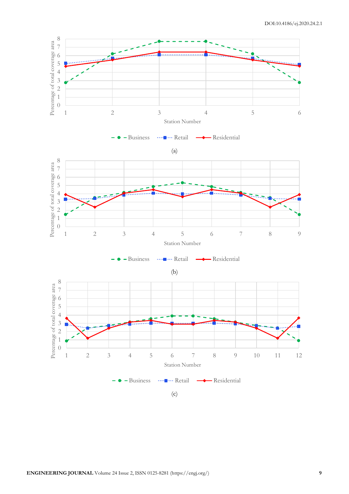

(c)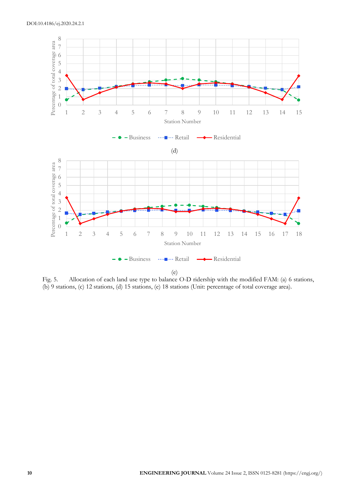

Fig. 5. Allocation of each land use type to balance O-D ridership with the modified FAM: (a) 6 stations, (b) 9 stations, (c) 12 stations, (d) 15 stations, (e) 18 stations (Unit: percentage of total coverage area).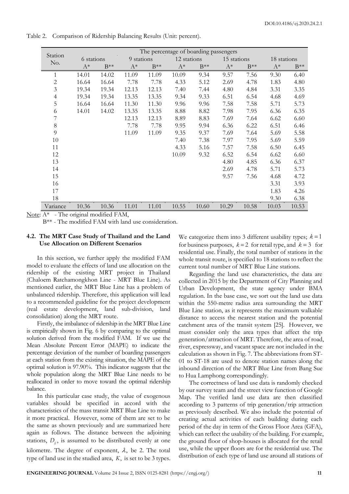Station No. The percentage of boarding passengers 6 stations 9 stations 12 stations 15 stations 18 stations  $A^*$  B<sup>\*\*</sup>  $A^*$  B<sup>\*\*</sup>  $A^*$  B<sup>\*\*</sup>  $A^*$  B<sup>\*\*</sup>  $A^*$  B<sup>\*\*</sup> 1 14.01 14.02 11.09 11.09 10.09 9.34 9.57 7.56 9.30 6.40 2 16.64 16.64 7.78 7.78 4.33 5.12 2.69 4.78 1.83 4.80 3 19.34 19.34 12.13 12.13 7.40 7.44 4.80 4.84 3.31 3.35 4 19.34 19.34 13.35 13.35 9.34 9.33 6.51 6.54 4.68 4.69 5 16.64 16.64 11.30 11.30 9.96 9.96 7.58 7.58 5.71 5.73 6 14.01 14.02 13.35 13.35 8.88 8.82 7.98 7.95 6.36 6.35 7 12.13 12.13 8.89 8.83 7.69 7.64 6.62 6.60 8 7.78 7.78 9.95 9.94 6.36 6.22 6.51 6.46 9 11.09 11.09 9.35 9.37 7.69 7.64 5.69 5.58 10 7.40 7.38 7.97 7.95 5.69 5.59 11 4.33 5.16 7.57 7.58 6.50 6.45 12 10.09 9.32 6.52 6.54 6.62 6.60 13 4.80 4.85 6.36 6.37 14 2.69 4.78 5.71 5.73 15 9.57 7.56 4.68 4.72 16 3.31 3.93 17 1.83 4.26 18 9.30 6.38 Variance 10.36 10.36 11.01 11.01 10.55 10.60 10.29 10.58 10.03 10.53

Table 2. Comparison of Ridership Balancing Results (Unit: percent).

Note: A\* - The original modified FAM,

B\*\* - The modified FAM with land use consideration.

## **4.2. The MRT Case Study of Thailand and the Land Use Allocation on Different Scenarios**

In this section, we further apply the modified FAM model to evaluate the effects of land use allocation on the ridership of the existing MRT project in Thailand (Chaloem Ratchamongkhon Line - MRT Blue Line). As mentioned earlier, the MRT Blue Line has a problem of unbalanced ridership. Therefore, this application will lead to a recommended guideline for the project development (real estate development, land sub-division, land consolidation) along the MRT route.

Firstly, the imbalance of ridership in the MRT Blue Line is empirically shown in Fig. 6 by comparing to the optimal solution derived from the modified FAM. If we use the Mean Absolute Percent Error (MAPE) to indicate the percentage deviation of the number of boarding passengers at each station from the existing situation, the MAPE of the optimal solution is 97.90%. This indicator suggests that the whole population along the MRT Blue Line needs to be reallocated in order to move toward the optimal ridership balance.

In this particular case study, the value of exogenous variables should be specified in accord with the characteristics of the mass transit MRT Blue Line to make it more practical. However, some of them are set to be the same as shown previously and are summarized here again as follows. The distance between the adjoining stations,  $D_{ij}$ , is assumed to be distributed evenly at one kilometre. The degree of exponent,  $\lambda$ , be 2. The total type of land use in the studied area, *K*, is set to be 3 types.

We categorize them into 3 different usability types; *k* = 1 for business purposes,  $k = 2$  for retail type, and  $k = 3$  for residential use. Finally, the total number of stations in the whole transit route, is specified to 18 stations to reflect the current total number of MRT Blue Line stations.

Regarding the land use characteristics, the data are collected in 2015 by the Department of City Planning and Urban Development, the state agency under BMA regulation. In the base case, we sort out the land use data within the 550-metre radius area surrounding the MRT Blue Line station, as it represents the maximum walkable distance to access the nearest station and the potential catchment area of the transit system [25]. However, we must consider only the area types that affect the trip generation/attraction of MRT. Therefore, the area of road, river, expressway, and vacant space are not included in the calculation as shown in Fig. 7. The abbreviations from ST-01 to ST-18 are used to denote station names along the inbound direction of the MRT Blue Line from Bang Sue to Hua Lamphong correspondingly.

The correctness of land use data is randomly checked by our survey team and the street view function of Google Map. The verified land use data are then classified according to 3 patterns of trip generation/trip attraction as previously described. We also include the potential of creating actual activities of each building during each period of the day in term of the Gross Floor Area (GFA), which can reflect the usability of the building. For example, the ground floor of shop-houses is allocated for the retail use, while the upper floors are for the residential use. The distribution of each type of land use around all stations of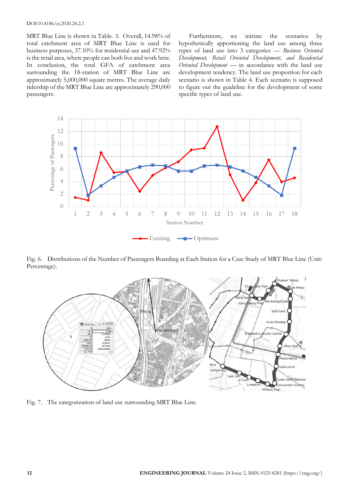## DOI:10.4186/ej.2020.24.2.1

MRT Blue Line is shown in Table. 3. Overall, 14.98% of total catchment area of MRT Blue Line is used for business purposes, 37.10% for residential use and 47.92% is the retail area, where people can both live and work here. In conclusion, the total GFA of catchment area surrounding the 18-station of MRT Blue Line are approximately 5,000,000 square metres. The average daily ridership of the MRT Blue Line are approximately 290,000 passengers.

Furthermore, we initiate the scenarios by hypothetically apportioning the land use among three types of land use into 3 categories — *Business Oriented Development, Retail Oriented Development, and Residential Oriented Development* — in accordance with the land use development tendency. The land use proportion for each scenario is shown in Table 4. Each scenario is supposed to figure out the guideline for the development of some specific types of land use.



Fig. 6. Distributions of the Number of Passengers Boarding at Each Station for a Case Study of MRT Blue Line (Unit: Percentage).



Fig. 7. The categorization of land use surrounding MRT Blue Line.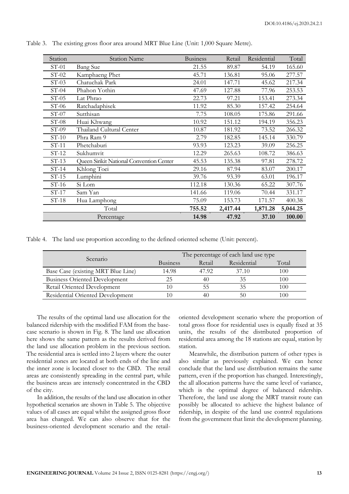| Station | <b>Station Name</b>                     | <b>Business</b> | Retail   | Residential | Total    |
|---------|-----------------------------------------|-----------------|----------|-------------|----------|
| $ST-01$ | <b>Bang Sue</b>                         | 21.55           | 89.87    | 54.19       | 165.60   |
| $ST-02$ | Kamphaeng Phet                          | 45.71           | 136.81   | 95.06       | 277.57   |
| $ST-03$ | Chatuchak Park                          | 24.01           | 147.71   | 45.62       | 217.34   |
| $ST-04$ | Phahon Yothin                           | 47.69           | 127.88   | 77.96       | 253.53   |
| $ST-05$ | Lat Phrao                               | 22.73           | 97.21    | 153.41      | 273.34   |
| $ST-06$ | Ratchadaphisek                          | 11.92           | 85.30    | 157.42      | 254.64   |
| $ST-07$ | Sutthisan                               | 7.75            | 108.05   | 175.86      | 291.66   |
| $ST-08$ | Huai Khwang                             | 10.92           | 151.12   | 194.19      | 356.23   |
| $ST-09$ | Thailand Cultural Center                | 10.87           | 181.92   | 73.52       | 266.32   |
| $ST-10$ | Phra Ram 9                              | 2.79            | 182.85   | 145.14      | 330.79   |
| $ST-11$ | Phetchaburi                             | 93.93           | 123.23   | 39.09       | 256.25   |
| $ST-12$ | Sukhumvit                               | 12.29           | 265.63   | 108.72      | 386.63   |
| $ST-13$ | Queen Sinkit National Convention Center | 45.53           | 135.38   | 97.81       | 278.72   |
| $ST-14$ | Khlong Toei                             | 29.16           | 87.94    | 83.07       | 200.17   |
| $ST-15$ | Lumphini                                | 39.76           | 93.39    | 63.01       | 196.17   |
| $ST-16$ | Si Lom                                  | 112.18          | 130.36   | 65.22       | 307.76   |
| $ST-17$ | Sam Yan                                 | 141.66          | 119.06   | 70.44       | 331.17   |
| $ST-18$ | Hua Lamphong                            | 75.09           | 153.73   | 171.57      | 400.38   |
|         | Total                                   | 755.52          | 2,417.44 | 1,871.28    | 5,044.25 |
|         | Percentage                              | 14.98           | 47.92    | 37.10       | 100.00   |

Table 3. The existing gross floor area around MRT Blue Line (Unit: 1,000 Square Metre).

Table 4. The land use proportion according to the defined oriented scheme (Unit: percent).

| Scenario                             | The percentage of each land use type |        |             |       |  |  |  |
|--------------------------------------|--------------------------------------|--------|-------------|-------|--|--|--|
|                                      | <b>Business</b>                      | Retail | Residential | Total |  |  |  |
| Base Case (existing MRT Blue Line)   | 14.98                                | 47.92  | 37.10       | 100   |  |  |  |
| <b>Business Oriented Development</b> |                                      | 40     | 35          | 100   |  |  |  |
| Retail Oriented Development          |                                      | ל.ל    |             | 100   |  |  |  |
| Residential Oriented Development     |                                      | 40     |             | 00    |  |  |  |

The results of the optimal land use allocation for the balanced ridership with the modified FAM from the basecase scenario is shown in Fig. 8. The land use allocation here shows the same pattern as the results derived from the land use allocation problem in the previous section. The residential area is settled into 2 layers where the outer residential zones are located at both ends of the line and the inner zone is located closer to the CBD. The retail areas are consistently spreading in the central part, while the business areas are intensely concentrated in the CBD of the city.

In addition, the results of the land use allocation in other hypothetical scenarios are shown in Table 5. The objective values of all cases are equal whilst the assigned gross floor area has changed. We can also observe that for the business-oriented development scenario and the retail-

oriented development scenario where the proportion of total gross floor for residential uses is equally fixed at 35 units, the results of the distributed proportion of residential area among the 18 stations are equal, station by station.

Meanwhile, the distribution pattern of other types is also similar as previously explained. We can hence conclude that the land use distribution remains the same pattern, even if the proportion has changed. Interestingly, the all allocation patterns have the same level of variance, which is the optimal degree of balanced ridership. Therefore, the land use along the MRT transit route can possibly be allocated to achieve the highest balance of ridership, in despite of the land use control regulations from the government that limit the development planning.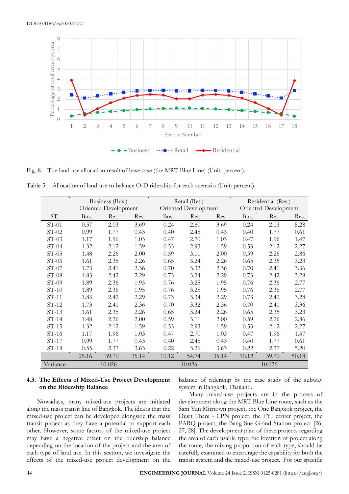

Fig. 8. The land use allocation result of base case (the MRT Blue Line) (Unit: percent).

Table 5. Allocation of land use to balance O-D ridership for each scenario (Unit: percent).

|          |       | Business (Bus.)<br>Retail (Ret.) |       |                      | Residential (Res.) |        |       |                      |       |  |
|----------|-------|----------------------------------|-------|----------------------|--------------------|--------|-------|----------------------|-------|--|
|          |       | Oriented Development             |       | Oriented Development |                    |        |       | Oriented Development |       |  |
| ST.      | Bus.  | Ret.                             | Res.  | Bus.                 | Ret.               | Res.   | Bus.  | Ret.                 | Res.  |  |
| $ST-01$  | 0.57  | 2.03                             | 3.69  | 0.24                 | 2.80               | 3.69   | 0.24  | 2.03                 | 5.28  |  |
| $ST-02$  | 0.99  | 1.77                             | 0.43  | 0.40                 | 2.45               | 0.43   | 0.40  | 1.77                 | 0.61  |  |
| $ST-03$  | 1.17  | 1.96                             | 1.03  | 0.47                 | 2.70               | 1.03   | 0.47  | 1.96                 | 1.47  |  |
| $ST-04$  | 1.32  | 2.12                             | 1.59  | 0.53                 | 2.93               | 1.59   | 0.53  | 2.12                 | 2.27  |  |
| $ST-05$  | 1.48  | 2.26                             | 2.00  | 0.59                 | 3.11               | 2.00   | 0.59  | 2.26                 | 2.86  |  |
| $ST-06$  | 1.61  | 2.35                             | 2.26  | 0.65                 | 3.24               | 2.26   | 0.65  | 2.35                 | 3.23  |  |
| $ST-07$  | 1.73  | 2.41                             | 2.36  | 0.70                 | 3.32               | 2.36   | 0.70  | 2.41                 | 3.36  |  |
| $ST-08$  | 1.83  | 2.42                             | 2.29  | 0.73                 | 3.34               | 2.29   | 0.73  | 2.42                 | 3.28  |  |
| $ST-09$  | 1.89  | 2.36                             | 1.95  | 0.76                 | 3.25               | 1.95   | 0.76  | 2.36                 | 2.77  |  |
| $ST-10$  | 1.89  | 2.36                             | 1.95  | 0.76                 | 3.25               | 1.95   | 0.76  | 2.36                 | 2.77  |  |
| $ST-11$  | 1.83  | 2.42                             | 2.29  | 0.73                 | 3.34               | 2.29   | 0.73  | 2.42                 | 3.28  |  |
| $ST-12$  | 1.73  | 2.41                             | 2.36  | 0.70                 | 3.32               | 2.36   | 0.70  | 2.41                 | 3.36  |  |
| $ST-13$  | 1.61  | 2.35                             | 2.26  | 0.65                 | 3.24               | 2.26   | 0.65  | 2.35                 | 3.23  |  |
| $ST-14$  | 1.48  | 2.26                             | 2.00  | 0.59                 | 3.11               | 2.00   | 0.59  | 2.26                 | 2.86  |  |
| $ST-15$  | 1.32  | 2.12                             | 1.59  | 0.53                 | 2.93               | 1.59   | 0.53  | 2.12                 | 2.27  |  |
| $ST-16$  | 1.17  | 1.96                             | 1.03  | 0.47                 | 2.70               | 1.03   | 0.47  | 1.96                 | 1.47  |  |
| $ST-17$  | 0.99  | 1.77                             | 0.43  | 0.40                 | 2.45               | 0.43   | 0.40  | 1.77                 | 0.61  |  |
| $ST-18$  | 0.55  | 2.37                             | 3.63  | 0.22                 | 3.26               | 3.63   | 0.22  | 2.37                 | 5.20  |  |
|          | 25.16 | 39.70                            | 35.14 | 10.12                | 54.74              | 35.14  | 10.12 | 39.70                | 50.18 |  |
| Variance |       | 10.026<br>10.026                 |       |                      |                    | 10.026 |       |                      |       |  |

## **4.3. The Effects of Mixed-Use Project Development on the Ridership Balance**

balance of ridership by the case study of the subway system in Bangkok, Thailand.

Nowadays, many mixed-use projects are initiated along the mass transit line of Bangkok. The idea is that the mixed-use project can be developed alongside the mass transit project as they have a potential to support each other. However, some factors of the mixed-use project may have a negative effect on the ridership balance depending on the location of the project and the area of each type of land use. In this section, we investigate the effects of the mixed-use project development on the

Many mixed-use projects are in the process of development along the MRT Blue Line route, such as the Sam Yan Mitrtown project, the One Bangkok project, the Dusit Thani - CPN project, the FYI center project, the PARQ project, the Bang Sue Grand Station project [26, 27, 28]. The development plan of these projects regarding the area of each usable type, the location of project along the route, the mixing proportion of each type, should be carefully examined to encourage the capability for both the transit system and the mixed-use project. For our specific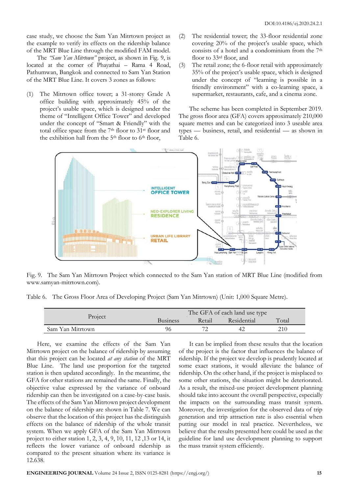case study, we choose the Sam Yan Mitrtown project as the example to verify its effects on the ridership balance of the MRT Blue Line through the modified FAM model.

The *"Sam Yan Mitrtown"* project, as shown in Fig. 9, is located at the corner of Phayathai – Rama 4 Road, Pathumwan, Bangkok and connected to Sam Yan Station of the MRT Blue Line. It covers 3 zones as follows:

- (1) The Mitrtown office tower; a 31-storey Grade A office building with approximately 45% of the project's usable space, which is designed under the theme of "Intelligent Office Tower" and developed under the concept of "Smart & Friendly" with the total office space from the 7<sup>th</sup> floor to 31<sup>st</sup> floor and the exhibition hall from the 5<sup>th</sup> floor to 6<sup>th</sup> floor,
- (2) The residential tower; the 33-floor residential zone covering 20% of the project's usable space, which consists of a hotel and a condominium from the 7th floor to 33<sup>rd</sup> floor, and
- (3) The retail zone; the 6-floor retail with approximately 35% of the project's usable space, which is designed under the concept of "learning is possible in a friendly environment" with a co-learning space, a supermarket, restaurants, cafe, and a cinema zone.

The scheme has been completed in September 2019. The gross floor area (GFA) covers approximately 210,000 square metres and can be categorized into 3 useable area types — business, retail, and residential — as shown in Table 6.



Fig. 9. The Sam Yan Mitrtown Project which connected to the Sam Yan station of MRT Blue Line (modified from www.samyan-mitrtown.com).

Table 6. The Gross Floor Area of Developing Project (Sam Yan Mitrtown) (Unit: 1,000 Square Metre).

|                  | The GFA of each land use type |        |             |       |  |  |
|------------------|-------------------------------|--------|-------------|-------|--|--|
| Project          | <b>Business</b>               | Retail | Residential | Total |  |  |
| Sam Yan Mitrtown | 96                            |        | 42          | 210   |  |  |

Here, we examine the effects of the Sam Yan Mitrtown project on the balance of ridership by assuming that this project can be located *at any station* of the MRT Blue Line. The land use proportion for the targeted station is then updated accordingly. In the meantime, the GFA for other stations are remained the same. Finally, the objective value expressed by the variance of onboard ridership can then be investigated on a case-by-case basis. The effects of the Sam Yan Mitrtown project development on the balance of ridership are shown in Table 7. We can observe that the location of this project has the distinguish effects on the balance of ridership of the whole transit system. When we apply GFA of the Sam Yan Mitrtown project to either station 1, 2, 3, 4, 9, 10, 11, 12 ,13 or 14, it reflects the lower variance of onboard ridership as compared to the present situation where its variance is 12.638.

It can be implied from these results that the location of the project is the factor that influences the balance of ridership. If the project we develop is prudently located at some exact stations, it would alleviate the balance of ridership. On the other hand, if the project is misplaced to some other stations, the situation might be deteriorated. As a result, the mixed-use project development planning should take into account the overall perspective, especially the impacts on the surrounding mass transit system. Moreover, the investigation for the observed data of trip generation and trip attraction rate is also essential when putting our model in real practice. Nevertheless, we believe that the results presented here could be used as the guideline for land use development planning to support the mass transit system efficiently.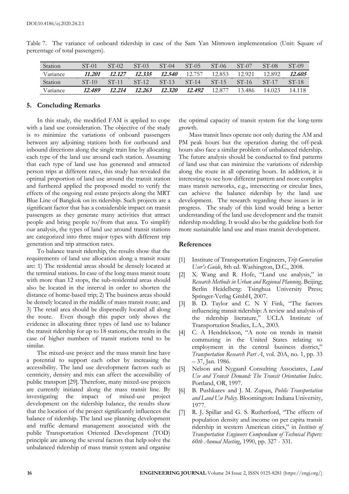| Station  | $ST-01$ | $ST-02$ | $ST-03$ | $ST-04$ | $ST-05$ | $ST-06$            | $ST-07$ | $ST-08$ | ST-09   |
|----------|---------|---------|---------|---------|---------|--------------------|---------|---------|---------|
| Variance | 11.201  | 12.127  | 12.335  | 12.540  | 12.757  | 12.853             | 12.921  | 12.892  | 12.605  |
| Station  | $ST-10$ | $ST-11$ | $ST-12$ | $ST-13$ | $ST-14$ | $ST-15$            | $ST-16$ | $ST-17$ | $ST-18$ |
| Variance | 12.489  | 12.214  | 12.263  | 12.320  | 12.492  | 12.87 <sub>1</sub> | 13.486  | 14.023  | 14.118  |

Table 7. The variance of onboard ridership in case of the Sam Yan Mitrtown implementation (Unit: Square of percentage of total passengers).

## **5. Concluding Remarks**

In this study, the modified FAM is applied to cope with a land use consideration. The objective of the study is to minimize the variations of onboard passengers between any adjoining stations both for outbound and inbound directions along the single train line by allocating each type of the land use around each station. Assuming that each type of land use has generated and attracted person trips at different rates, this study has revealed the optimal proportion of land use around the transit station and furthered applied the proposed model to verify the effects of the ongoing real estate projects along the MRT Blue Line of Bangkok on its ridership. Such projects are a significant factor that has a considerable impact on transit passengers as they generate many activities that attract people and bring people to/from that area. To simplify our analysis, the types of land use around transit stations are categorized into three major types with different trip generation and trip attraction rates.

To balance transit ridership, the results show that the requirements of land use allocation along a transit route are: 1) The residential areas should be densely located at the terminal stations. In case of the long mass transit route with more than 12 stops, the sub-residential areas should also be located in the interval in order to shorten the distance of home-based trip; 2) The business areas should be densely located in the middle of mass transit route; and 3) The retail area should be dispersedly located all along the route. Even though this paper only shows the evidence in allocating three types of land use to balance the transit ridership for up to 18 stations, the results in the case of higher numbers of transit stations tend to be similar.

The mixed-use project and the mass transit line have a potential to support each other by increasing the accessibility. The land use development factors such as centricity, density and mix can affect the accessibility of public transport [29]. Therefore, many mixed-use projects are currently initiated along the mass transit line. By investigating the impact of mixed-use project development on the ridership balance, the results show that the location of the project significantly influences the balance of ridership. The land use planning development and traffic demand management associated with the public Transportation Oriented Development (TOD) principle are among the several factors that help solve the unbalanced ridership of mass transit system and organise

the optimal capacity of transit system for the long-term growth.

Mass transit lines operate not only during the AM and PM peak hours but the operation during the off-peak hours also face a similar problem of unbalanced ridership. The future analysis should be conducted to find patterns of land use that can minimize the variations of ridership along the route in all operating hours. In addition, it is interesting to see how different pattern and more complex mass transit networks, e.g., intersecting or circular lines, can achieve the balance ridership by the land use development. The research regarding these issues is in progress. The study of this kind would bring a better understanding of the land use development and the transit ridership modeling. It would also be the guideline both for more sustainable land use and mass transit development.

## **References**

- [1] Institute of Transportation Engineers, *Trip Generation User's Guide*, 8th ed. Washington, D.C., 2008.
- [2] X. Wang and R. Hofe, "Land use analysis," in *Research Methods in Urban and Regional Planning*. Beijing; Berlin Heidelberg: Tsinghua University Press; Springer-Verlag GmbH, 2007.
- [3] B. D. Taylor and C. N Y Fink, "The factors influencing transit ridership: A review and analysis of the ridership literature," UCLA Institute of Transportation Studies, L.A., 2003.
- [4] C. A Hendrickson, "A note on trends in transit commuting in the United States relating to employment in the central business district," *Transportation Research Part A*, vol. 20A, no. 1, pp. 33 – 37, Jan. 1986.
- [5] Nelson and Nygaard Consulting Associates, *Land Use and Transit Demand: The Transit Orientation Index*. Portland, OR, 1997.
- [6] B. Pushkarev and J. M. Zupan, *Public Transportation and Land Use Policy*. Bloomington: Indiana University, 1977.
- [7] R. J. Spillar and G. S. Rutherford, "The effects of population density and income on per capita transit ridership in western American cities," in *Institute of Transportation Engineers Compendium of Technical Papers: 60th Annual Meeting*, 1990, pp. 327 - 331.